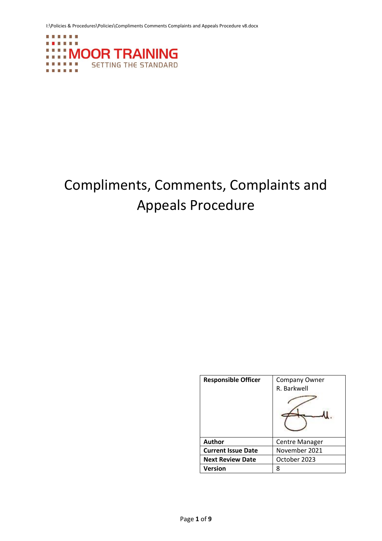I:\Policies & Procedures\Policies\Compliments Comments Complaints and Appeals Procedure v8.docx



# Compliments, Comments, Complaints and Appeals Procedure

| <b>Responsible Officer</b> | <b>Company Owner</b><br>R. Barkwell |
|----------------------------|-------------------------------------|
| <b>Author</b>              | Centre Manager                      |
| <b>Current Issue Date</b>  | November 2021                       |
| <b>Next Review Date</b>    | October 2023                        |
| Version                    | 8                                   |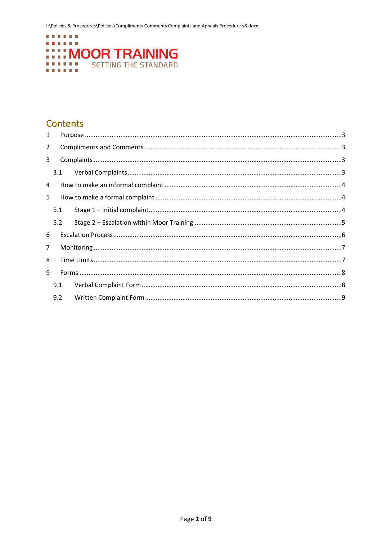

## **Contents**

| 1              |     |  |
|----------------|-----|--|
| $\overline{2}$ |     |  |
| 3              |     |  |
|                | 3.1 |  |
| 4              |     |  |
| 5              |     |  |
|                | 5.1 |  |
|                | 5.2 |  |
| 6              |     |  |
| $\overline{7}$ |     |  |
| 8              |     |  |
| 9              |     |  |
|                | 9.1 |  |
|                | 9.2 |  |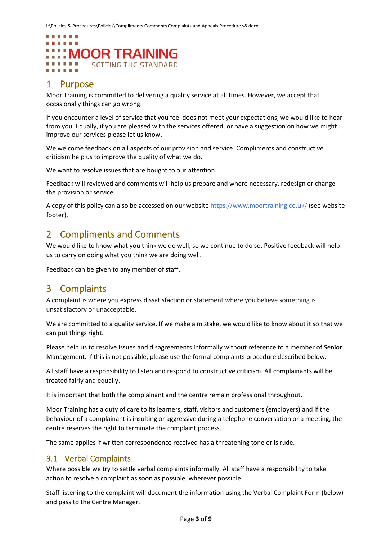### **The Country Country Country Country** . . . . . . :::: MOOR TRAINING **SETTING THE STANDARD**

## <span id="page-2-0"></span>1 Purpose

Moor Training is committed to delivering a quality service at all times. However, we accept that occasionally things can go wrong.

If you encounter a level of service that you feel does not meet your expectations, we would like to hear from you. Equally, if you are pleased with the services offered, or have a suggestion on how we might improve our services please let us know.

We welcome feedback on all aspects of our provision and service. Compliments and constructive criticism help us to improve the quality of what we do.

We want to resolve issues that are bought to our attention.

Feedback will reviewed and comments will help us prepare and where necessary, redesign or change the provision or service.

A copy of this policy can also be accessed on our website<https://www.moortraining.co.uk/> (see website footer).

## <span id="page-2-1"></span>2 Compliments and Comments

We would like to know what you think we do well, so we continue to do so. Positive feedback will help us to carry on doing what you think we are doing well.

Feedback can be given to any member of staff.

## <span id="page-2-2"></span>3 Complaints

A complaint is where you express dissatisfaction or statement where you believe something is unsatisfactory or unacceptable.

We are committed to a quality service. If we make a mistake, we would like to know about it so that we can put things right.

Please help us to resolve issues and disagreements informally without reference to a member of Senior Management. If this is not possible, please use the formal complaints procedure described below.

All staff have a responsibility to listen and respond to constructive criticism. All complainants will be treated fairly and equally.

It is important that both the complainant and the centre remain professional throughout.

Moor Training has a duty of care to its learners, staff, visitors and customers (employers) and if the behaviour of a complainant is insulting or aggressive during a telephone conversation or a meeting, the centre reserves the right to terminate the complaint process.

The same applies if written correspondence received has a threatening tone or is rude.

#### <span id="page-2-3"></span>3.1 Verbal Complaints

Where possible we try to settle verbal complaints informally. All staff have a responsibility to take action to resolve a complaint as soon as possible, wherever possible.

Staff listening to the complaint will document the information using the Verbal Complaint Form (below) and pass to the Centre Manager.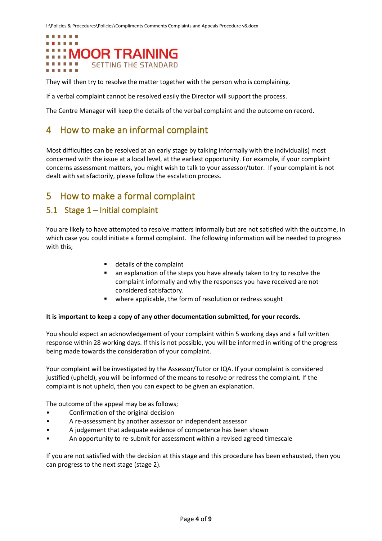

They will then try to resolve the matter together with the person who is complaining.

If a verbal complaint cannot be resolved easily the Director will support the process.

The Centre Manager will keep the details of the verbal complaint and the outcome on record.

## <span id="page-3-0"></span>4 How to make an informal complaint

Most difficulties can be resolved at an early stage by talking informally with the individual(s) most concerned with the issue at a local level, at the earliest opportunity. For example, if your complaint concerns assessment matters, you might wish to talk to your assessor/tutor. If your complaint is not dealt with satisfactorily, please follow the escalation process.

## <span id="page-3-1"></span>5 How to make a formal complaint

#### <span id="page-3-2"></span>5.1 Stage 1 – Initial complaint

You are likely to have attempted to resolve matters informally but are not satisfied with the outcome, in which case you could initiate a formal complaint. The following information will be needed to progress with this;

- details of the complaint
- an explanation of the steps you have already taken to try to resolve the complaint informally and why the responses you have received are not considered satisfactory.
- where applicable, the form of resolution or redress sought

#### **It is important to keep a copy of any other documentation submitted, for your records.**

You should expect an acknowledgement of your complaint within 5 working days and a full written response within 28 working days. If this is not possible, you will be informed in writing of the progress being made towards the consideration of your complaint.

Your complaint will be investigated by the Assessor/Tutor or IQA. If your complaint is considered justified (upheld), you will be informed of the means to resolve or redress the complaint. If the complaint is not upheld, then you can expect to be given an explanation.

The outcome of the appeal may be as follows;

- Confirmation of the original decision
- A re-assessment by another assessor or independent assessor
- A judgement that adequate evidence of competence has been shown
- An opportunity to re-submit for assessment within a revised agreed timescale

If you are not satisfied with the decision at this stage and this procedure has been exhausted, then you can progress to the next stage (stage 2).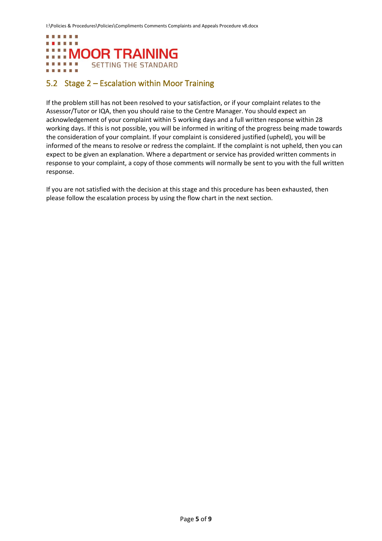

### <span id="page-4-0"></span>5.2 Stage 2 – Escalation within Moor Training

If the problem still has not been resolved to your satisfaction, or if your complaint relates to the Assessor/Tutor or IQA, then you should raise to the Centre Manager. You should expect an acknowledgement of your complaint within 5 working days and a full written response within 28 working days. If this is not possible, you will be informed in writing of the progress being made towards the consideration of your complaint. If your complaint is considered justified (upheld), you will be informed of the means to resolve or redress the complaint. If the complaint is not upheld, then you can expect to be given an explanation. Where a department or service has provided written comments in response to your complaint, a copy of those comments will normally be sent to you with the full written response.

If you are not satisfied with the decision at this stage and this procedure has been exhausted, then please follow the escalation process by using the flow chart in the next section.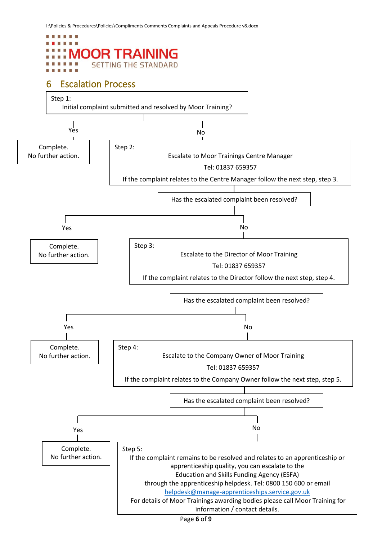<span id="page-5-0"></span>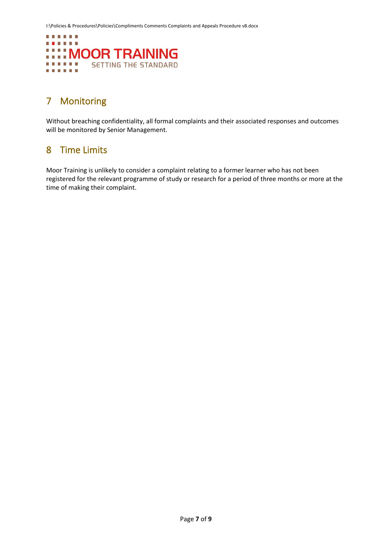

## <span id="page-6-0"></span>7 Monitoring

Without breaching confidentiality, all formal complaints and their associated responses and outcomes will be monitored by Senior Management.

## <span id="page-6-1"></span>8 Time Limits

Moor Training is unlikely to consider a complaint relating to a former learner who has not been registered for the relevant programme of study or research for a period of three months or more at the time of making their complaint.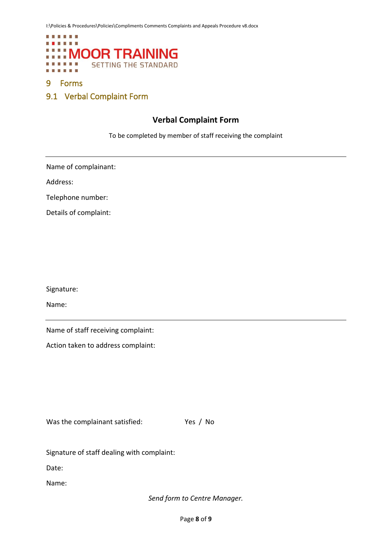

#### <span id="page-7-0"></span>9 Forms

<span id="page-7-1"></span>9.1 Verbal Complaint Form

#### **Verbal Complaint Form**

To be completed by member of staff receiving the complaint

Name of complainant:

Address:

Telephone number:

Details of complaint:

Signature:

Name:

Name of staff receiving complaint:

Action taken to address complaint:

Was the complainant satisfied: Yes / No

Signature of staff dealing with complaint:

Date:

Name:

*Send form to Centre Manager.*